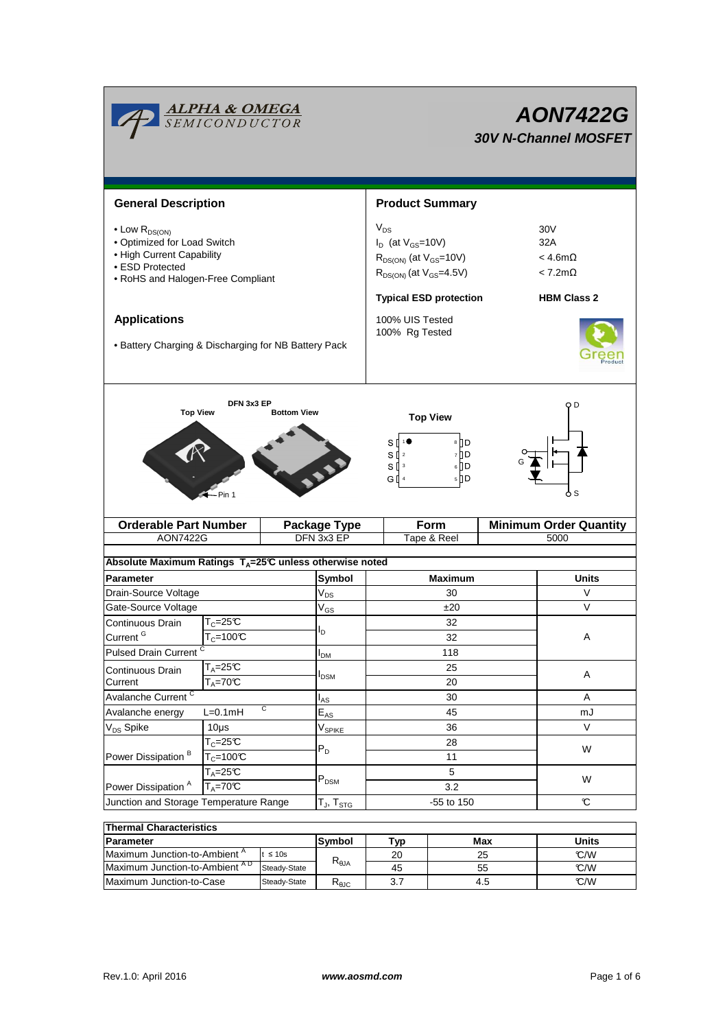|                                                                                                                                                | <b>ALPHA &amp; OMEGA</b><br>SEMICONDUCTOR           |                               | <b>AON7422G</b><br><b>30V N-Channel MOSFET</b>                                                                |                                                           |  |  |  |
|------------------------------------------------------------------------------------------------------------------------------------------------|-----------------------------------------------------|-------------------------------|---------------------------------------------------------------------------------------------------------------|-----------------------------------------------------------|--|--|--|
| <b>General Description</b>                                                                                                                     |                                                     |                               | <b>Product Summary</b>                                                                                        |                                                           |  |  |  |
| $\bullet$ Low $R_{DS(ON)}$<br>• Optimized for Load Switch<br>• High Current Capability<br>• ESD Protected<br>• RoHS and Halogen-Free Compliant |                                                     |                               | $V_{DS}$<br>$I_D$ (at $V_{GS}$ =10V)<br>$R_{DS(ON)}$ (at $V_{GS}$ =10V)<br>$R_{DS(ON)}$ (at $V_{GS} = 4.5V$ ) | 30V<br>32A<br>$<$ 4.6m $\Omega$<br>$< 7.2 \text{m}\Omega$ |  |  |  |
| <b>Applications</b><br>• Battery Charging & Discharging for NB Battery Pack                                                                    |                                                     |                               | <b>Typical ESD protection</b><br>100% UIS Tested<br>100% Rg Tested                                            | <b>HBM Class 2</b>                                        |  |  |  |
| <b>Top View</b>                                                                                                                                | DFN 3x3 EP<br>Pin 1                                 | <b>Bottom View</b>            | <b>Top View</b><br>8 D<br>s []<br>7 I D<br>$S^{2}$<br>$S^{13}$<br>$6$ D<br>G I 4<br>5 D                       | O D<br>o s                                                |  |  |  |
|                                                                                                                                                | <b>Orderable Part Number</b><br><b>Package Type</b> |                               | Form                                                                                                          | <b>Minimum Order Quantity</b>                             |  |  |  |
| <b>AON7422G</b>                                                                                                                                |                                                     | DFN 3x3 EP                    | Tape & Reel                                                                                                   | 5000                                                      |  |  |  |
| Absolute Maximum Ratings T <sub>A</sub> =25℃ unless otherwise noted                                                                            |                                                     |                               |                                                                                                               |                                                           |  |  |  |
| <b>Parameter</b>                                                                                                                               |                                                     | Symbol                        | <b>Maximum</b>                                                                                                | <b>Units</b>                                              |  |  |  |
| Drain-Source Voltage                                                                                                                           |                                                     | $\mathsf{V}_{\mathsf{DS}}$    | 30                                                                                                            | V                                                         |  |  |  |
| Gate-Source Voltage                                                                                                                            |                                                     | $V_{GS}$                      | ±20                                                                                                           | V                                                         |  |  |  |
| Continuous Drain                                                                                                                               | $T_c = 25C$                                         |                               | 32                                                                                                            |                                                           |  |  |  |
| Current <sup>G</sup>                                                                                                                           | $T_c = 100C$                                        | l <sub>D</sub>                | 32                                                                                                            |                                                           |  |  |  |
| Pulsed Drain Current <sup>C</sup>                                                                                                              |                                                     | $I_{DM}$                      | 118                                                                                                           |                                                           |  |  |  |
| Continuous Drain                                                                                                                               | $T_A = 25\overline{C}$                              |                               | 25                                                                                                            | A                                                         |  |  |  |
| Current                                                                                                                                        | $T_A = 70^\circ C$                                  | <b>I</b> <sub>DSM</sub>       | 20                                                                                                            |                                                           |  |  |  |
| Avalanche Current <sup>C</sup>                                                                                                                 |                                                     |                               | 30                                                                                                            | Α                                                         |  |  |  |
| Avalanche energy                                                                                                                               | C<br>$L=0.1mH$                                      | $E_{AS}$                      | 45                                                                                                            | mJ                                                        |  |  |  |
| V <sub>DS</sub> Spike                                                                                                                          | $10\mus$                                            | $\mathsf{V}_{\mathsf{SPIKE}}$ | 36                                                                                                            | V                                                         |  |  |  |
| Power Dissipation <sup>B</sup>                                                                                                                 | $T_c = 25C$                                         | $P_D$                         | 28                                                                                                            | W                                                         |  |  |  |
|                                                                                                                                                | $T_c = 100C$                                        |                               | 11                                                                                                            |                                                           |  |  |  |
|                                                                                                                                                | $T_A = 25C$                                         | $P_{DSM}$                     | 5                                                                                                             | W                                                         |  |  |  |
| $T_A = 70C$<br>Power Dissipation <sup>A</sup>                                                                                                  |                                                     |                               | 3.2                                                                                                           |                                                           |  |  |  |
| Junction and Storage Temperature Range                                                                                                         |                                                     | $T_J$ , $T_{STG}$             | -55 to 150                                                                                                    | $\mathbf c$                                               |  |  |  |
| <b>Thermal Characteristics</b>                                                                                                                 |                                                     |                               |                                                                                                               |                                                           |  |  |  |
|                                                                                                                                                |                                                     |                               |                                                                                                               |                                                           |  |  |  |

| ⊺Thermal Characteristics                  |               |                 |     |       |      |  |  |  |  |
|-------------------------------------------|---------------|-----------------|-----|-------|------|--|--|--|--|
| <b>Parameter</b>                          | Symbol        | Tvo             | Max | Units |      |  |  |  |  |
| Maximum Junction-to-Ambient <sup>"</sup>  | t $\leq 10$ s |                 | 20  | 25    | C/W  |  |  |  |  |
| Maximum Junction-to-Ambient <sup>AD</sup> | Steady-State  | $R_{\theta JA}$ | 45  | 55    | °C/W |  |  |  |  |
| Maximum Junction-to-Case                  | Steady-State  | ზყი             |     | 4.5   | C/W  |  |  |  |  |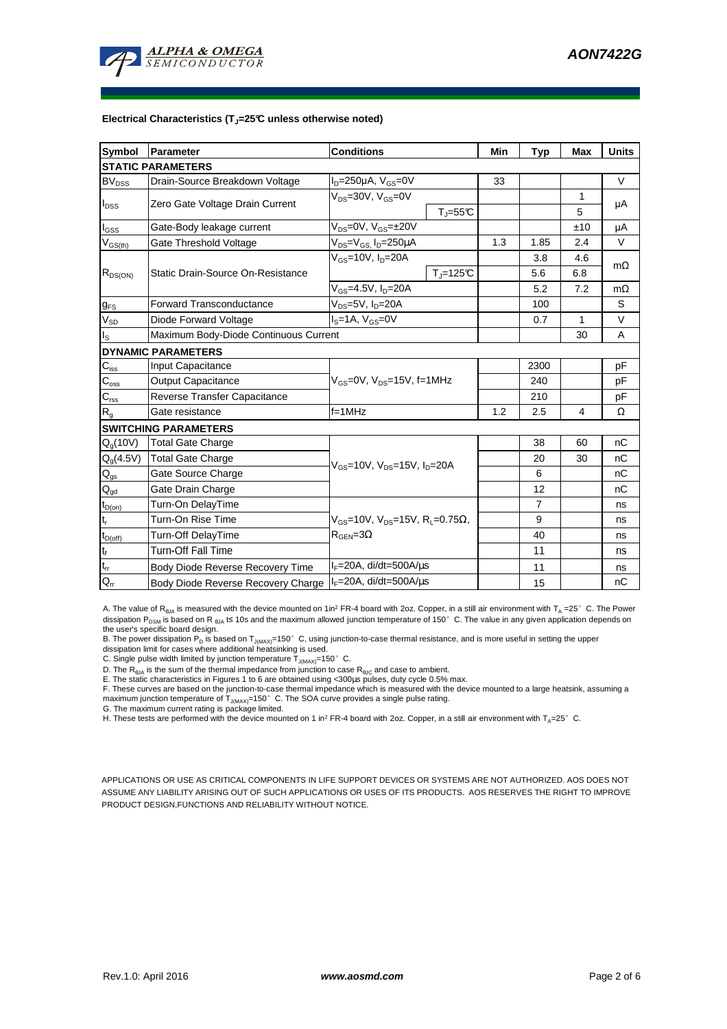

#### **Electrical Characteristics (TJ=25°C unless otherwise noted)**

| Symbol                     | <b>Parameter</b>                      | <b>Conditions</b>                                                                                              |                    |     | <b>Typ</b>     | <b>Max</b> | <b>Units</b> |  |  |  |
|----------------------------|---------------------------------------|----------------------------------------------------------------------------------------------------------------|--------------------|-----|----------------|------------|--------------|--|--|--|
| <b>STATIC PARAMETERS</b>   |                                       |                                                                                                                |                    |     |                |            |              |  |  |  |
| <b>BV</b> <sub>DSS</sub>   | Drain-Source Breakdown Voltage        | $I_D = 250 \mu A$ , $V_{GS} = 0V$                                                                              |                    | 33  |                |            | V            |  |  |  |
| $I_{DSS}$                  | Zero Gate Voltage Drain Current       | $V_{DS} = 30V$ , $V_{GS} = 0V$                                                                                 |                    |     |                | 1          |              |  |  |  |
|                            |                                       | $T_{J} = 55^{\circ}C$                                                                                          |                    |     |                | 5          | μA           |  |  |  |
| $I_{GSS}$                  | Gate-Body leakage current             | $V_{DS} = 0V$ , $V_{GS} = \pm 20V$                                                                             |                    |     |                | ±10        | μA           |  |  |  |
| $V_{GS(th)}$               | Gate Threshold Voltage                | $V_{DS} = V_{GS} I_D = 250 \mu A$                                                                              |                    | 1.3 | 1.85           | 2.4        | V            |  |  |  |
|                            |                                       | $V_{gs}$ =10V, $I_{p}$ =20A                                                                                    |                    |     | 3.8            | 4.6        | $m\Omega$    |  |  |  |
| $R_{DS(ON)}$               | Static Drain-Source On-Resistance     |                                                                                                                | $T_{\rm J}$ =125°C |     | 5.6            | 6.8        |              |  |  |  |
|                            |                                       | $V_{GS} = 4.5V, I_D = 20A$                                                                                     |                    |     | 5.2            | 7.2        | $m\Omega$    |  |  |  |
| $g_{FS}$                   | <b>Forward Transconductance</b>       | $V_{DS}$ =5V, $I_D$ =20A                                                                                       |                    | 100 |                | S          |              |  |  |  |
| $\rm V_{SD}$               | Diode Forward Voltage                 | $IS=1A, VGS=0V$                                                                                                |                    | 0.7 | 1              | V          |              |  |  |  |
| $I_{\rm S}$                | Maximum Body-Diode Continuous Current |                                                                                                                |                    | 30  | A              |            |              |  |  |  |
|                            | <b>DYNAMIC PARAMETERS</b>             |                                                                                                                |                    |     |                |            |              |  |  |  |
| $C_{\text{iss}}$           | Input Capacitance                     |                                                                                                                |                    |     | 2300           |            | pF           |  |  |  |
| $C_{\rm oss}$              | <b>Output Capacitance</b>             | $V_{GS}$ =0V, $V_{DS}$ =15V, f=1MHz                                                                            |                    |     | 240            |            | рF           |  |  |  |
| $\mathbf{C}_{\text{rss}}$  | Reverse Transfer Capacitance          |                                                                                                                |                    | 210 |                | рF         |              |  |  |  |
| R <sub>g</sub>             | Gate resistance                       | $f = 1$ MHz                                                                                                    |                    | 1.2 | 2.5            | 4          | Ω            |  |  |  |
|                            | <b>SWITCHING PARAMETERS</b>           |                                                                                                                |                    |     |                |            |              |  |  |  |
| $Q_q(10V)$                 | <b>Total Gate Charge</b>              | $V_{GS}$ =10V, $V_{DS}$ =15V, $I_{D}$ =20A                                                                     |                    |     | 38             | 60         | nC           |  |  |  |
| $Q_g(4.5V)$                | <b>Total Gate Charge</b>              |                                                                                                                |                    |     | 20             | 30         | nC           |  |  |  |
| $Q_{gs}$                   | Gate Source Charge                    |                                                                                                                |                    |     | 6              |            | nC           |  |  |  |
| $\mathsf{Q}_{\mathsf{gd}}$ | Gate Drain Charge                     |                                                                                                                |                    |     | 12             |            | nC           |  |  |  |
| $t_{D(on)}$                | Turn-On DelayTime                     |                                                                                                                |                    |     | $\overline{7}$ |            | ns           |  |  |  |
| $t_r$                      | Turn-On Rise Time                     | $V_{\text{GS}} = 10V$ , $V_{\text{DS}} = 15V$ , R <sub>1</sub> = 0.75 $\Omega$ ,<br>$R_{\text{GEN}} = 3\Omega$ |                    |     | 9              |            | ns           |  |  |  |
| $t_{D(off)}$               | Turn-Off DelayTime                    |                                                                                                                |                    |     | 40             |            | ns           |  |  |  |
| $\mathbf{t}_\text{f}$      | <b>Turn-Off Fall Time</b>             |                                                                                                                |                    | 11  |                | ns         |              |  |  |  |
| $\mathfrak{t}_{\text{rr}}$ | Body Diode Reverse Recovery Time      | $I_F = 20A$ , di/dt=500A/us                                                                                    |                    |     | 11             |            | ns           |  |  |  |
| $Q_{rr}$                   | Body Diode Reverse Recovery Charge    | $I_F = 20A$ , di/dt=500A/us                                                                                    |                    |     | 15             |            | nC           |  |  |  |

A. The value of R<sub>θJA</sub> is measured with the device mounted on 1in<sup>2</sup> FR-4 board with 2oz. Copper, in a still air environment with T<sub>A</sub> =25°C. The Power dissipation P<sub>DSM</sub> is based on R <sub>0JA</sub> t≤ 10s and the maximum allowed junction temperature of 150°C. The value in any given application depends on

the user's specific board design.<br>B. The power dissipation P<sub>D</sub> is based on T<sub>JMAX)</sub>=150° C, using junction-to-case thermal resistance, and is more useful in setting the upper<br>dissipation limit for cases where additional h

D. The  $R_{\theta J\text{A}}$  is the sum of the thermal impedance from junction to case  $R_{\theta J\text{C}}$  and case to ambient.

E. The static characteristics in Figures 1 to 6 are obtained using <300us pulses, duty cycle 0.5% max.

F. These curves are based on the junction-to-case thermal impedance which is measured with the device mounted to a large heatsink, assuming a maximum junction temperature of  $T_{J(MAX)}$ =150°C. The SOA curve provides a single pulse rating.

G. The maximum current rating is package limited.

H. These tests are performed with the device mounted on 1 in<sup>2</sup> FR-4 board with 2oz. Copper, in a still air environment with T<sub>A</sub>=25°C.

APPLICATIONS OR USE AS CRITICAL COMPONENTS IN LIFE SUPPORT DEVICES OR SYSTEMS ARE NOT AUTHORIZED. AOS DOES NOT ASSUME ANY LIABILITY ARISING OUT OF SUCH APPLICATIONS OR USES OF ITS PRODUCTS. AOS RESERVES THE RIGHT TO IMPROVE PRODUCT DESIGN,FUNCTIONS AND RELIABILITY WITHOUT NOTICE.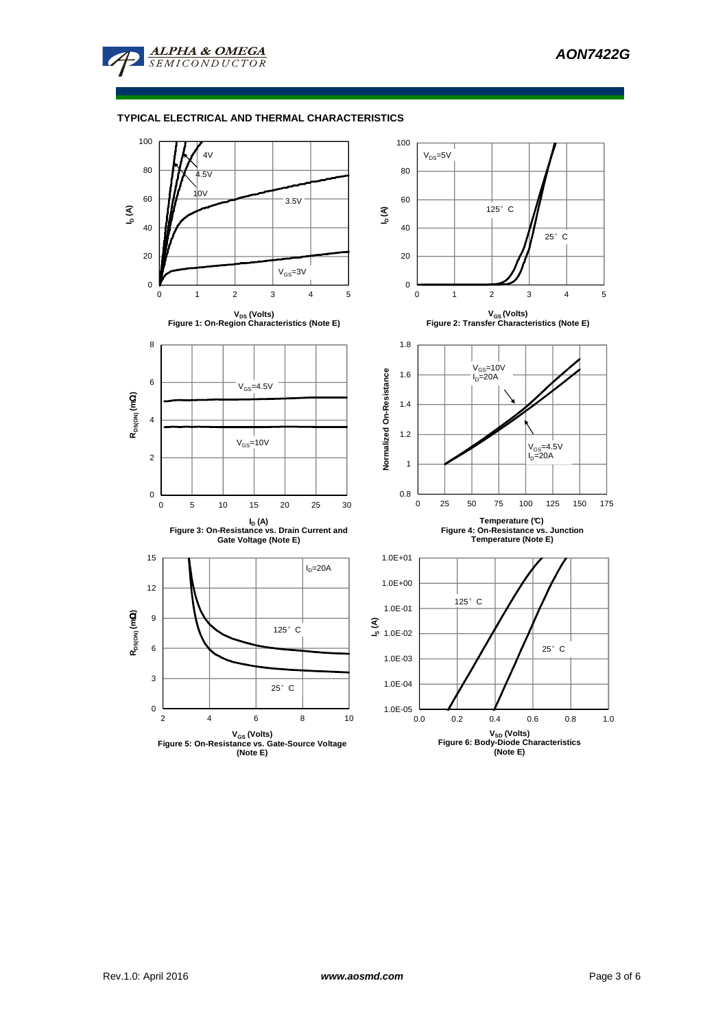

## **TYPICAL ELECTRICAL AND THERMAL CHARACTERISTICS**

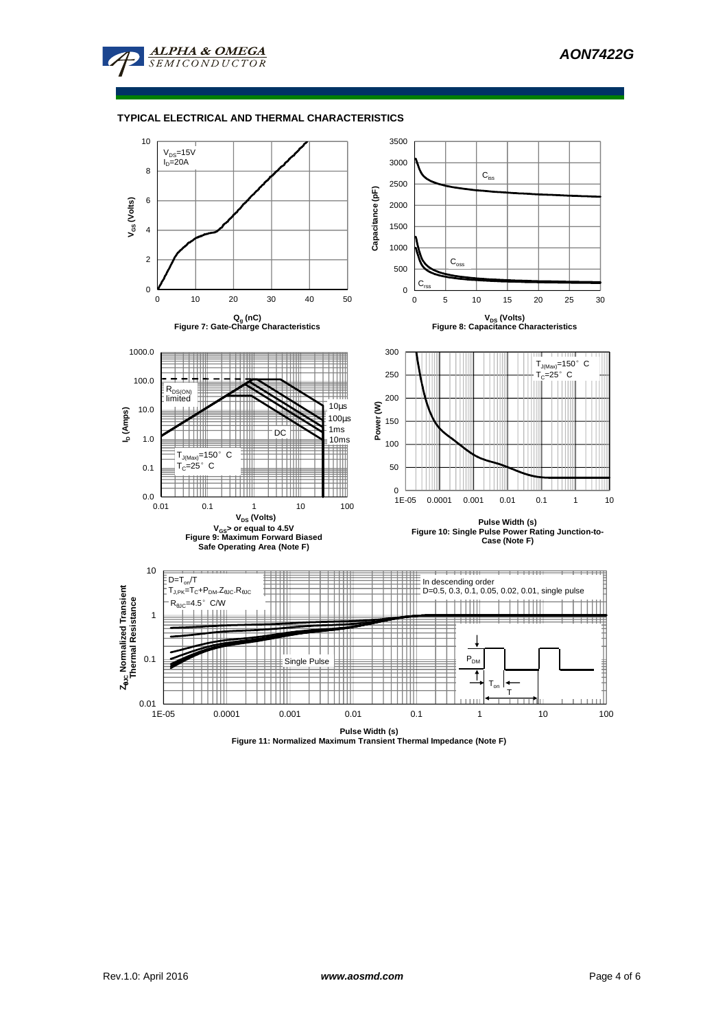

#### **TYPICAL ELECTRICAL AND THERMAL CHARACTERISTICS**

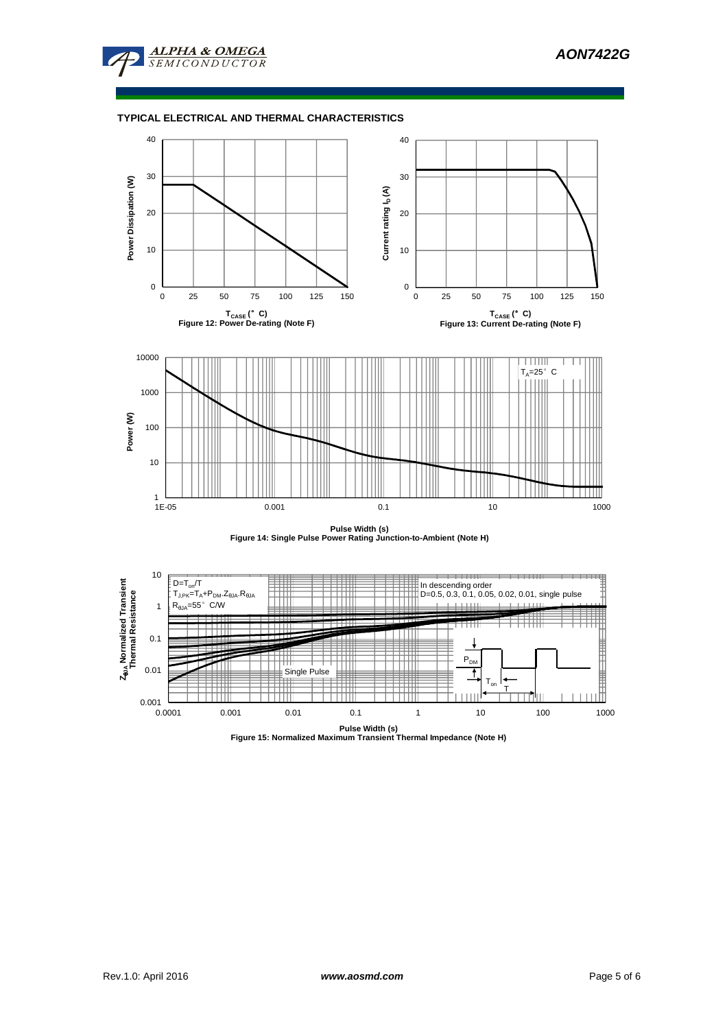

### **TYPICAL ELECTRICAL AND THERMAL CHARACTERISTICS**



**Pulse Width (s) Figure 14: Single Pulse Power Rating Junction-to-Ambient (Note H)**